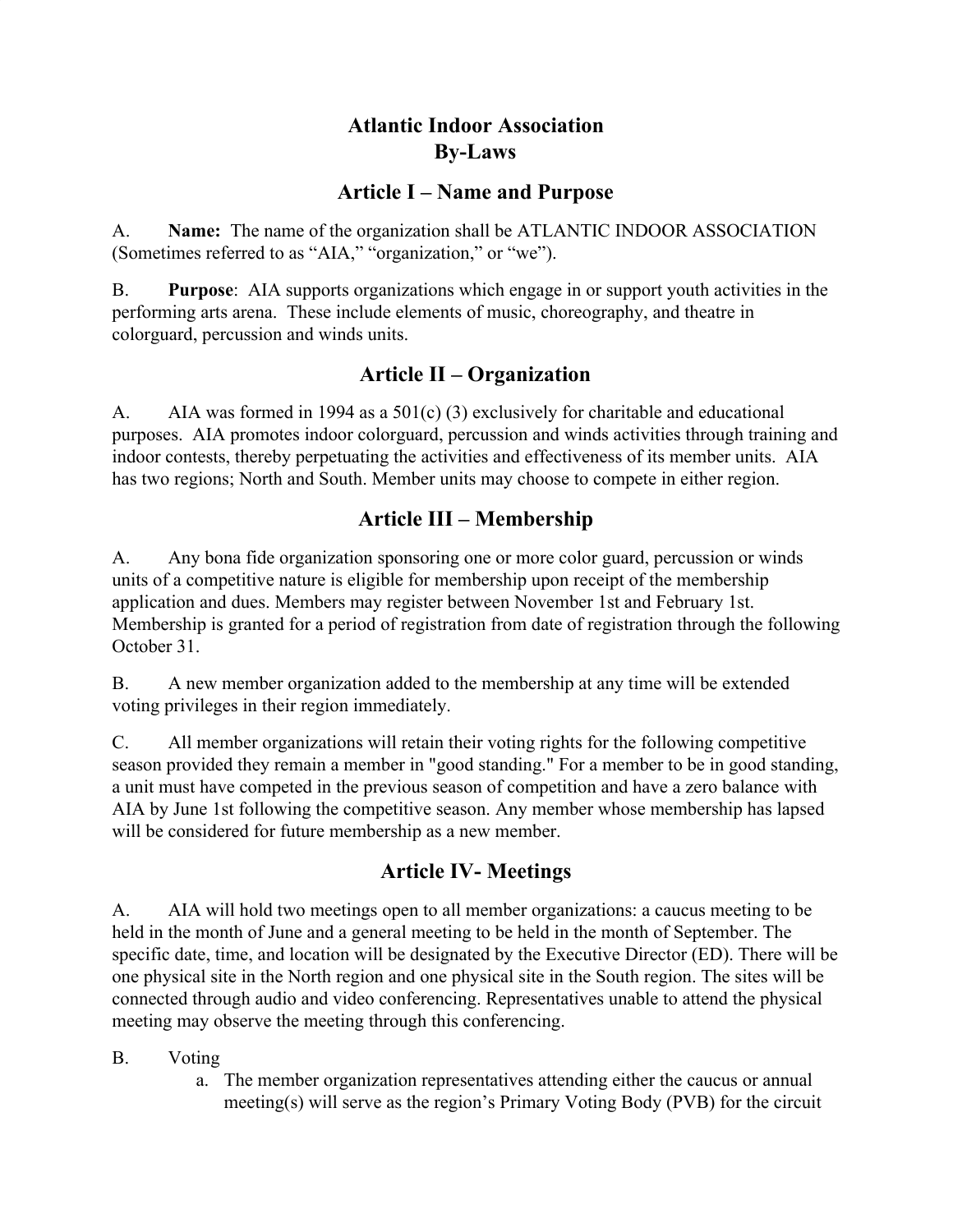## **Atlantic Indoor Association By-Laws**

### **Article I – Name and Purpose**

A. **Name:** The name of the organization shall be ATLANTIC INDOOR ASSOCIATION (Sometimes referred to as "AIA," "organization," or "we").

B. **Purpose**: AIA supports organizations which engage in or support youth activities in the performing arts arena. These include elements of music, choreography, and theatre in colorguard, percussion and winds units.

## **Article II – Organization**

A. AIA was formed in 1994 as a 501(c) (3) exclusively for charitable and educational purposes. AIA promotes indoor colorguard, percussion and winds activities through training and indoor contests, thereby perpetuating the activities and effectiveness of its member units. AIA has two regions; North and South. Member units may choose to compete in either region.

## **Article III – Membership**

A. Any bona fide organization sponsoring one or more color guard, percussion or winds units of a competitive nature is eligible for membership upon receipt of the membership application and dues. Members may register between November 1st and February 1st. Membership is granted for a period of registration from date of registration through the following October 31.

B. A new member organization added to the membership at any time will be extended voting privileges in their region immediately.

C. All member organizations will retain their voting rights for the following competitive season provided they remain a member in "good standing." For a member to be in good standing, a unit must have competed in the previous season of competition and have a zero balance with AIA by June 1st following the competitive season. Any member whose membership has lapsed will be considered for future membership as a new member.

## **Article IV- Meetings**

A. AIA will hold two meetings open to all member organizations: a caucus meeting to be held in the month of June and a general meeting to be held in the month of September. The specific date, time, and location will be designated by the Executive Director (ED). There will be one physical site in the North region and one physical site in the South region. The sites will be connected through audio and video conferencing. Representatives unable to attend the physical meeting may observe the meeting through this conferencing.

B. Voting

a. The member organization representatives attending either the caucus or annual meeting(s) will serve as the region's Primary Voting Body (PVB) for the circuit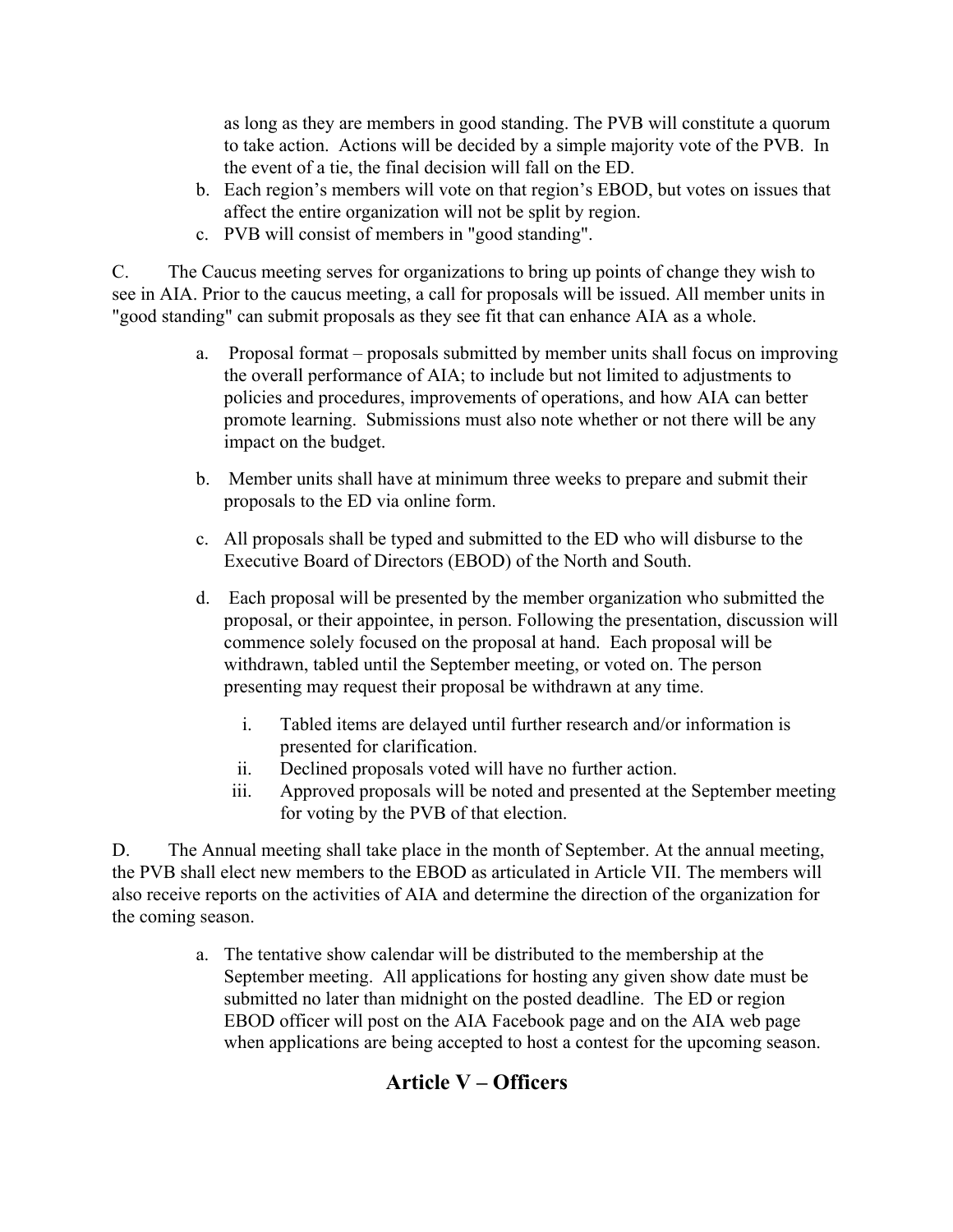as long as they are members in good standing. The PVB will constitute a quorum to take action. Actions will be decided by a simple majority vote of the PVB. In the event of a tie, the final decision will fall on the ED.

- b. Each region's members will vote on that region's EBOD, but votes on issues that affect the entire organization will not be split by region.
- c. PVB will consist of members in "good standing".

C. The Caucus meeting serves for organizations to bring up points of change they wish to see in AIA. Prior to the caucus meeting, a call for proposals will be issued. All member units in "good standing" can submit proposals as they see fit that can enhance AIA as a whole.

- a. Proposal format proposals submitted by member units shall focus on improving the overall performance of AIA; to include but not limited to adjustments to policies and procedures, improvements of operations, and how AIA can better promote learning. Submissions must also note whether or not there will be any impact on the budget.
- b. Member units shall have at minimum three weeks to prepare and submit their proposals to the ED via online form.
- c. All proposals shall be typed and submitted to the ED who will disburse to the Executive Board of Directors (EBOD) of the North and South.
- d. Each proposal will be presented by the member organization who submitted the proposal, or their appointee, in person. Following the presentation, discussion will commence solely focused on the proposal at hand. Each proposal will be withdrawn, tabled until the September meeting, or voted on. The person presenting may request their proposal be withdrawn at any time.
	- i. Tabled items are delayed until further research and/or information is presented for clarification.
	- ii. Declined proposals voted will have no further action.
	- iii. Approved proposals will be noted and presented at the September meeting for voting by the PVB of that election.

D. The Annual meeting shall take place in the month of September. At the annual meeting, the PVB shall elect new members to the EBOD as articulated in Article VII. The members will also receive reports on the activities of AIA and determine the direction of the organization for the coming season.

> a. The tentative show calendar will be distributed to the membership at the September meeting. All applications for hosting any given show date must be submitted no later than midnight on the posted deadline. The ED or region EBOD officer will post on the AIA Facebook page and on the AIA web page when applications are being accepted to host a contest for the upcoming season.

## **Article V – Officers**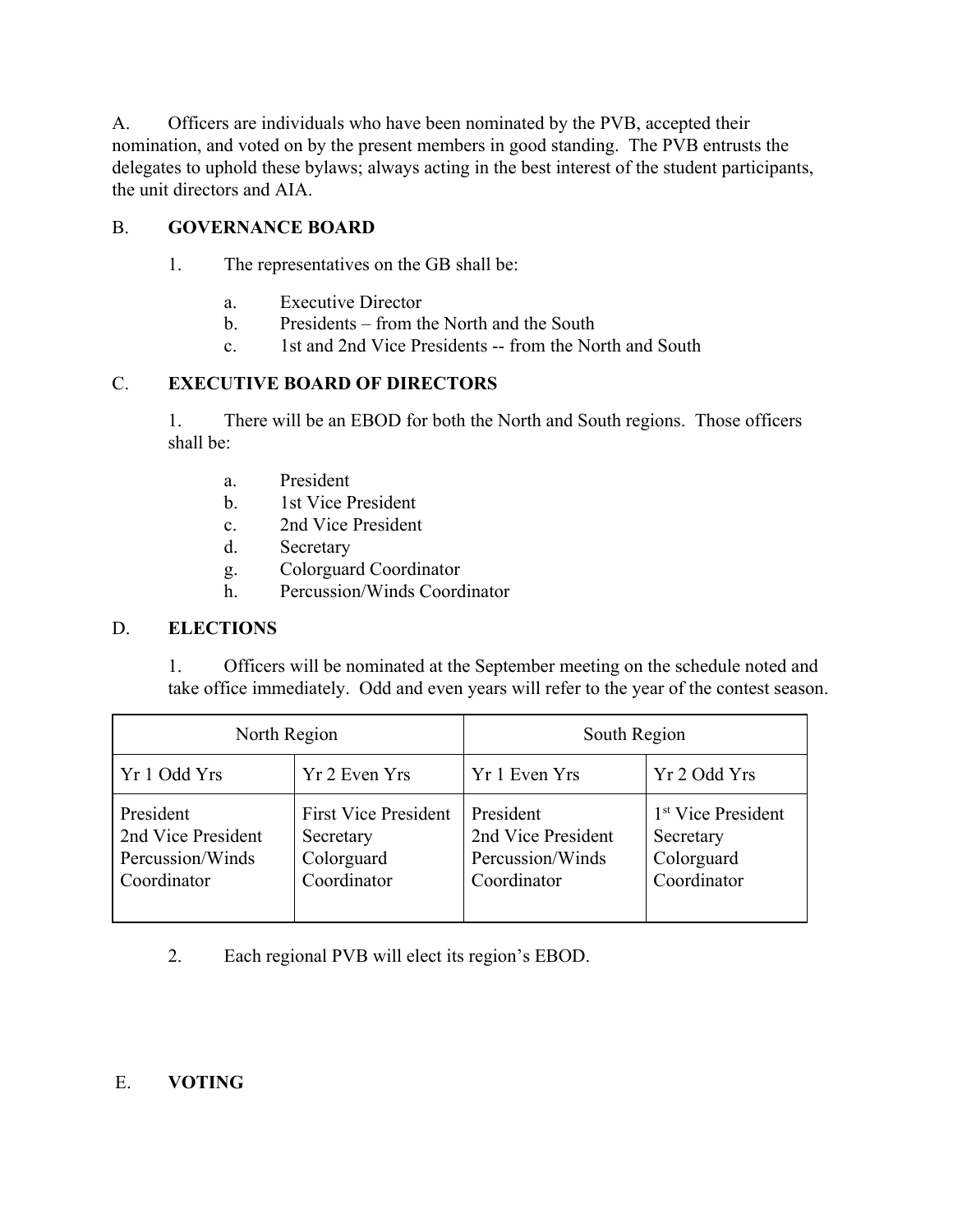A. Officers are individuals who have been nominated by the PVB, accepted their nomination, and voted on by the present members in good standing. The PVB entrusts the delegates to uphold these bylaws; always acting in the best interest of the student participants, the unit directors and AIA.

### B. **GOVERNANCE BOARD**

- 1. The representatives on the GB shall be:
	- a. Executive Director
	- b. Presidents from the North and the South
	- c. 1st and 2nd Vice Presidents -- from the North and South

#### C. **EXECUTIVE BOARD OF DIRECTORS**

1. There will be an EBOD for both the North and South regions. Those officers shall be:

- a. President
- b. 1st Vice President
- c. 2nd Vice President
- d. Secretary
- g. Colorguard Coordinator
- h. Percussion/Winds Coordinator

#### D. **ELECTIONS**

1. Officers will be nominated at the September meeting on the schedule noted and take office immediately. Odd and even years will refer to the year of the contest season.

| North Region                                                       |                                                                       | South Region                                                       |                                                                          |
|--------------------------------------------------------------------|-----------------------------------------------------------------------|--------------------------------------------------------------------|--------------------------------------------------------------------------|
| Yr 1 Odd Yrs                                                       | Yr 2 Even Yrs                                                         | Yr 1 Even Yrs                                                      | Yr 2 Odd Yrs                                                             |
| President<br>2nd Vice President<br>Percussion/Winds<br>Coordinator | <b>First Vice President</b><br>Secretary<br>Colorguard<br>Coordinator | President<br>2nd Vice President<br>Percussion/Winds<br>Coordinator | 1 <sup>st</sup> Vice President<br>Secretary<br>Colorguard<br>Coordinator |

2. Each regional PVB will elect its region's EBOD.

### E. **VOTING**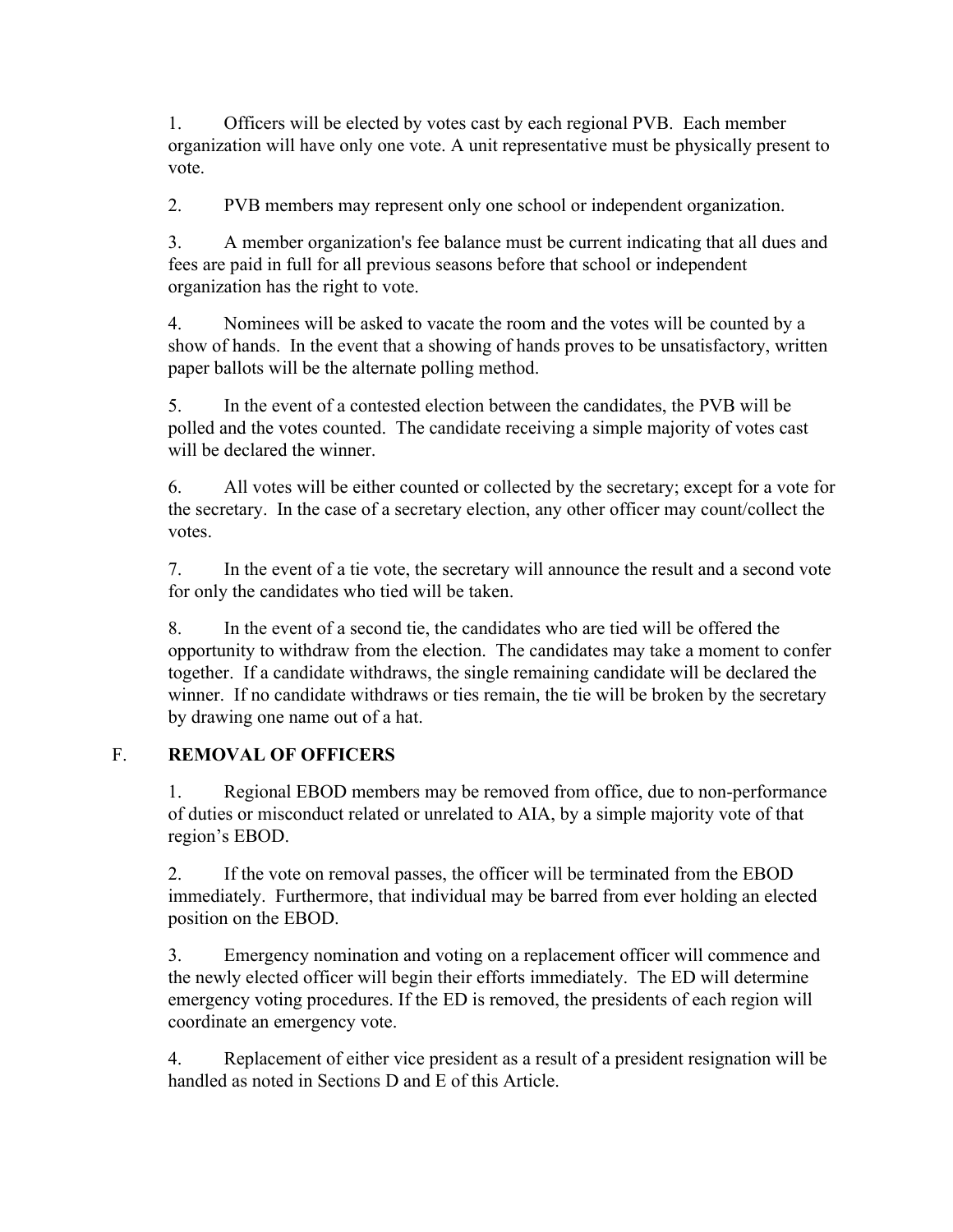1. Officers will be elected by votes cast by each regional PVB. Each member organization will have only one vote. A unit representative must be physically present to vote.

2. PVB members may represent only one school or independent organization.

3. A member organization's fee balance must be current indicating that all dues and fees are paid in full for all previous seasons before that school or independent organization has the right to vote.

4. Nominees will be asked to vacate the room and the votes will be counted by a show of hands. In the event that a showing of hands proves to be unsatisfactory, written paper ballots will be the alternate polling method.

5. In the event of a contested election between the candidates, the PVB will be polled and the votes counted. The candidate receiving a simple majority of votes cast will be declared the winner.

6. All votes will be either counted or collected by the secretary; except for a vote for the secretary. In the case of a secretary election, any other officer may count/collect the votes.

7. In the event of a tie vote, the secretary will announce the result and a second vote for only the candidates who tied will be taken.

8. In the event of a second tie, the candidates who are tied will be offered the opportunity to withdraw from the election. The candidates may take a moment to confer together. If a candidate withdraws, the single remaining candidate will be declared the winner. If no candidate withdraws or ties remain, the tie will be broken by the secretary by drawing one name out of a hat.

### F. **REMOVAL OF OFFICERS**

1. Regional EBOD members may be removed from office, due to non-performance of duties or misconduct related or unrelated to AIA, by a simple majority vote of that region's EBOD.

2. If the vote on removal passes, the officer will be terminated from the EBOD immediately. Furthermore, that individual may be barred from ever holding an elected position on the EBOD.

3. Emergency nomination and voting on a replacement officer will commence and the newly elected officer will begin their efforts immediately. The ED will determine emergency voting procedures. If the ED is removed, the presidents of each region will coordinate an emergency vote.

4. Replacement of either vice president as a result of a president resignation will be handled as noted in Sections D and E of this Article.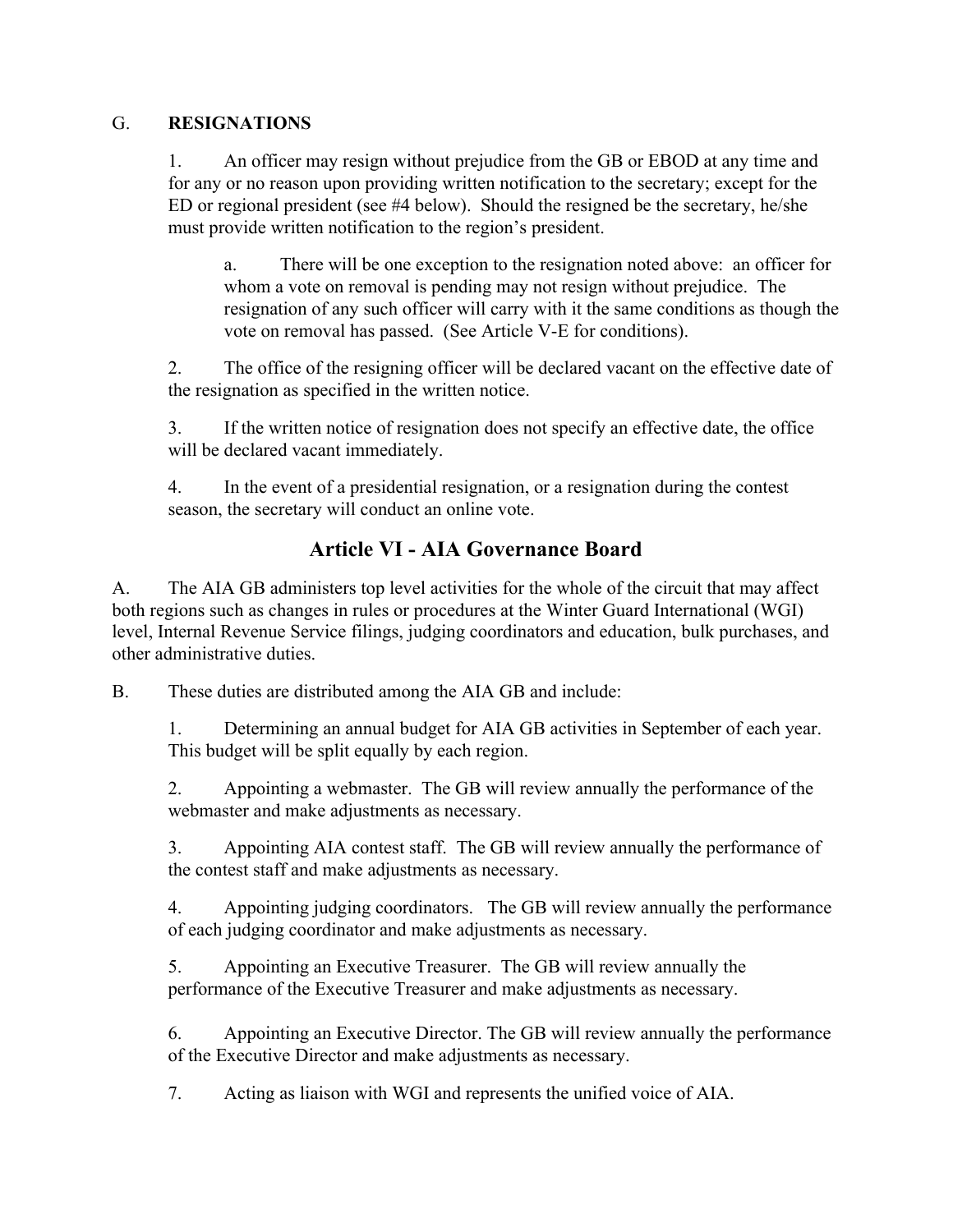#### G. **RESIGNATIONS**

1. An officer may resign without prejudice from the GB or EBOD at any time and for any or no reason upon providing written notification to the secretary; except for the ED or regional president (see #4 below). Should the resigned be the secretary, he/she must provide written notification to the region's president.

a. There will be one exception to the resignation noted above: an officer for whom a vote on removal is pending may not resign without prejudice. The resignation of any such officer will carry with it the same conditions as though the vote on removal has passed. (See Article V-E for conditions).

2. The office of the resigning officer will be declared vacant on the effective date of the resignation as specified in the written notice.

3. If the written notice of resignation does not specify an effective date, the office will be declared vacant immediately.

4. In the event of a presidential resignation, or a resignation during the contest season, the secretary will conduct an online vote.

## **Article VI - AIA Governance Board**

A. The AIA GB administers top level activities for the whole of the circuit that may affect both regions such as changes in rules or procedures at the Winter Guard International (WGI) level, Internal Revenue Service filings, judging coordinators and education, bulk purchases, and other administrative duties.

B. These duties are distributed among the AIA GB and include:

1. Determining an annual budget for AIA GB activities in September of each year. This budget will be split equally by each region.

2. Appointing a webmaster. The GB will review annually the performance of the webmaster and make adjustments as necessary.

3. Appointing AIA contest staff. The GB will review annually the performance of the contest staff and make adjustments as necessary.

4. Appointing judging coordinators. The GB will review annually the performance of each judging coordinator and make adjustments as necessary.

5. Appointing an Executive Treasurer. The GB will review annually the performance of the Executive Treasurer and make adjustments as necessary.

6. Appointing an Executive Director. The GB will review annually the performance of the Executive Director and make adjustments as necessary.

7. Acting as liaison with WGI and represents the unified voice of AIA.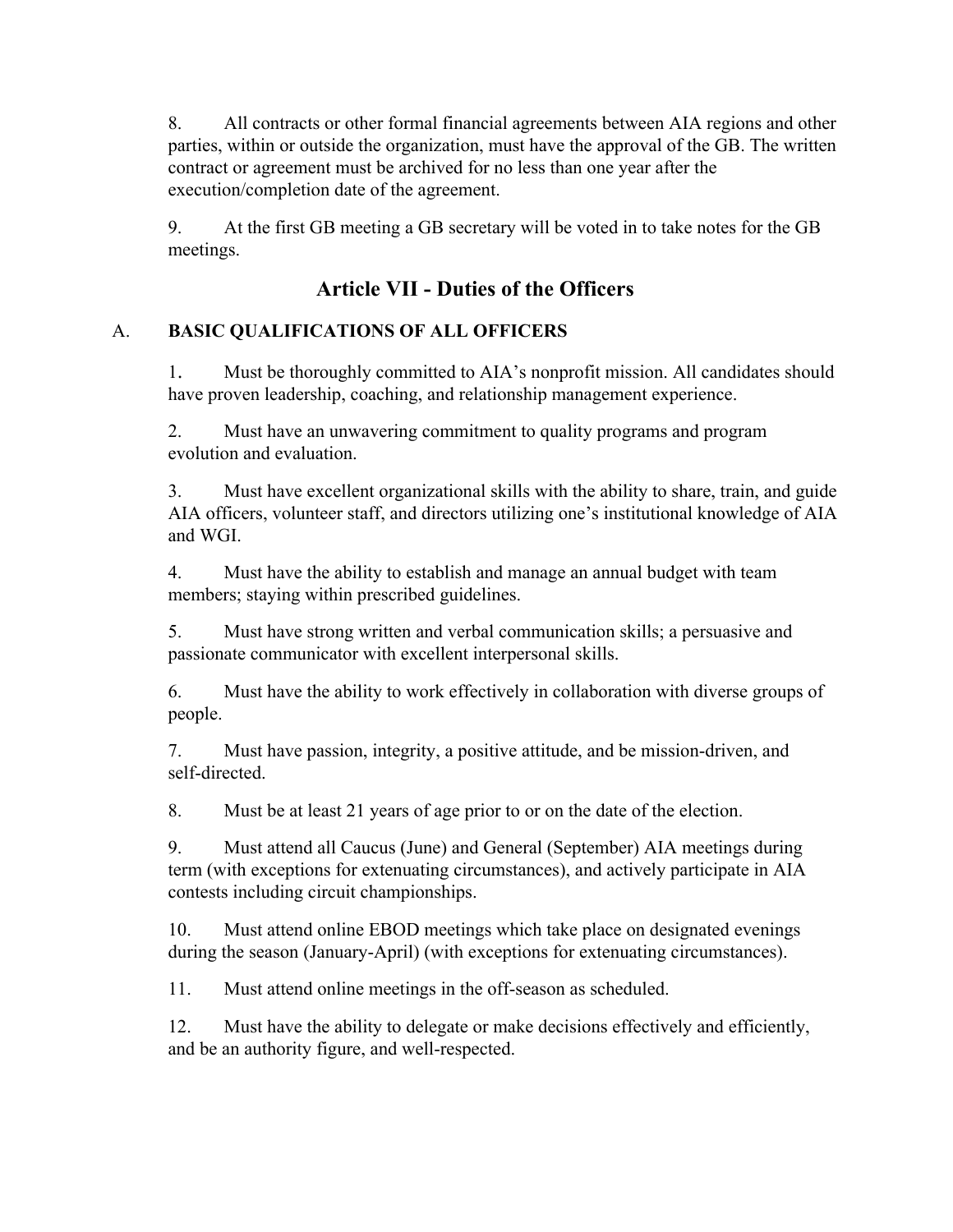8. All contracts or other formal financial agreements between AIA regions and other parties, within or outside the organization, must have the approval of the GB. The written contract or agreement must be archived for no less than one year after the execution/completion date of the agreement.

9. At the first GB meeting a GB secretary will be voted in to take notes for the GB meetings.

# **Article VII - Duties of the Officers**

### A. **BASIC QUALIFICATIONS OF ALL OFFICERS**

1. Must be thoroughly committed to AIA's nonprofit mission. All candidates should have proven leadership, coaching, and relationship management experience.

2. Must have an unwavering commitment to quality programs and program evolution and evaluation.

3. Must have excellent organizational skills with the ability to share, train, and guide AIA officers, volunteer staff, and directors utilizing one's institutional knowledge of AIA and WGI.

4. Must have the ability to establish and manage an annual budget with team members; staying within prescribed guidelines.

5. Must have strong written and verbal communication skills; a persuasive and passionate communicator with excellent interpersonal skills.

6. Must have the ability to work effectively in collaboration with diverse groups of people.

7. Must have passion, integrity, a positive attitude, and be mission-driven, and self-directed.

8. Must be at least 21 years of age prior to or on the date of the election.

9. Must attend all Caucus (June) and General (September) AIA meetings during term (with exceptions for extenuating circumstances), and actively participate in AIA contests including circuit championships.

10. Must attend online EBOD meetings which take place on designated evenings during the season (January-April) (with exceptions for extenuating circumstances).

11. Must attend online meetings in the off-season as scheduled.

12. Must have the ability to delegate or make decisions effectively and efficiently, and be an authority figure, and well-respected.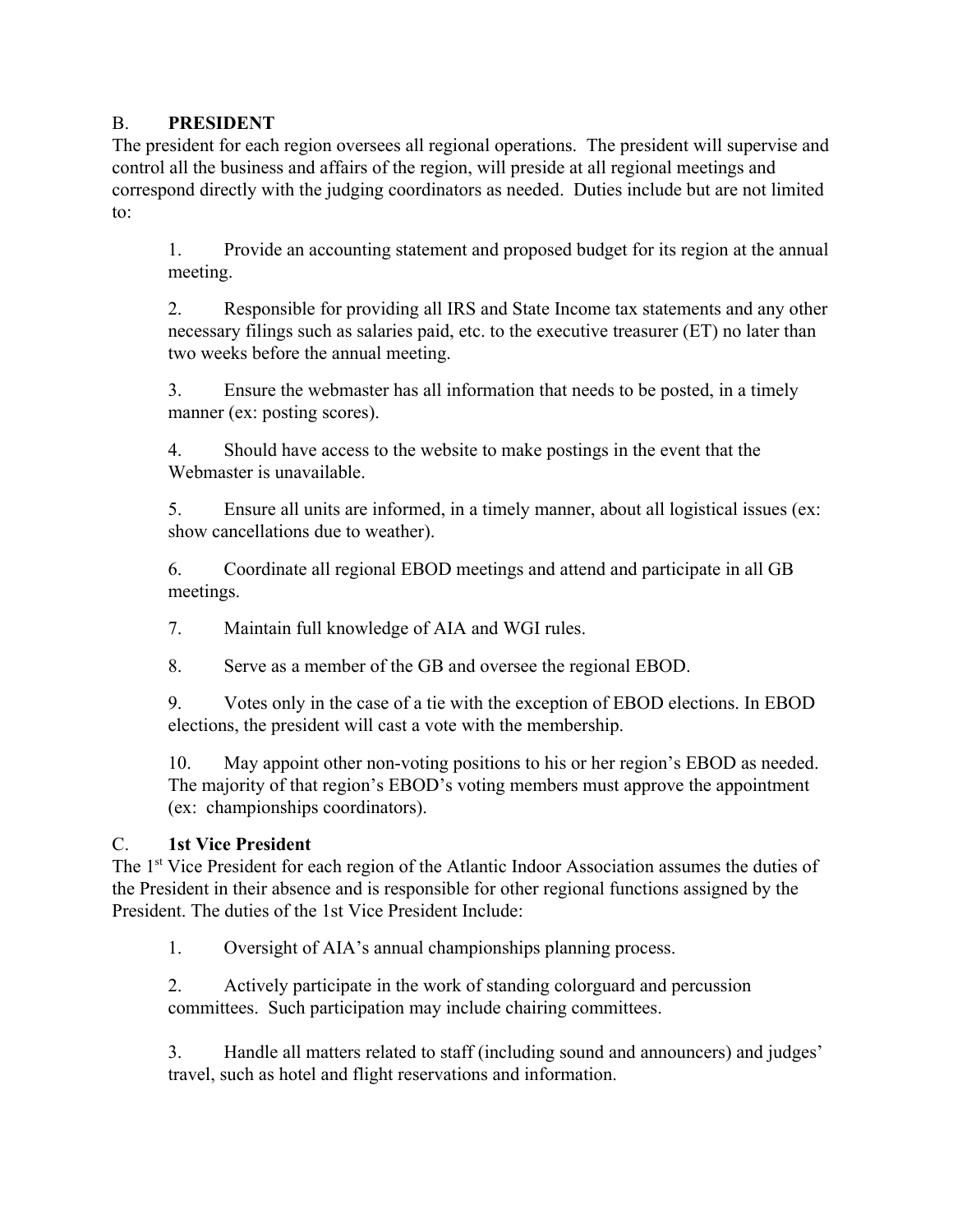#### B. **PRESIDENT**

The president for each region oversees all regional operations. The president will supervise and control all the business and affairs of the region, will preside at all regional meetings and correspond directly with the judging coordinators as needed. Duties include but are not limited to:

1. Provide an accounting statement and proposed budget for its region at the annual meeting.

2. Responsible for providing all IRS and State Income tax statements and any other necessary filings such as salaries paid, etc. to the executive treasurer (ET) no later than two weeks before the annual meeting.

3. Ensure the webmaster has all information that needs to be posted, in a timely manner (ex: posting scores).

4. Should have access to the website to make postings in the event that the Webmaster is unavailable.

5. Ensure all units are informed, in a timely manner, about all logistical issues (ex: show cancellations due to weather).

6. Coordinate all regional EBOD meetings and attend and participate in all GB meetings.

7. Maintain full knowledge of AIA and WGI rules.

8. Serve as a member of the GB and oversee the regional EBOD.

9. Votes only in the case of a tie with the exception of EBOD elections. In EBOD elections, the president will cast a vote with the membership.

10. May appoint other non-voting positions to his or her region's EBOD as needed. The majority of that region's EBOD's voting members must approve the appointment (ex: championships coordinators).

### C. **1st Vice President**

The 1<sup>st</sup> Vice President for each region of the Atlantic Indoor Association assumes the duties of the President in their absence and is responsible for other regional functions assigned by the President. The duties of the 1st Vice President Include:

1. Oversight of AIA's annual championships planning process.

2. Actively participate in the work of standing colorguard and percussion committees. Such participation may include chairing committees.

3. Handle all matters related to staff (including sound and announcers) and judges' travel, such as hotel and flight reservations and information.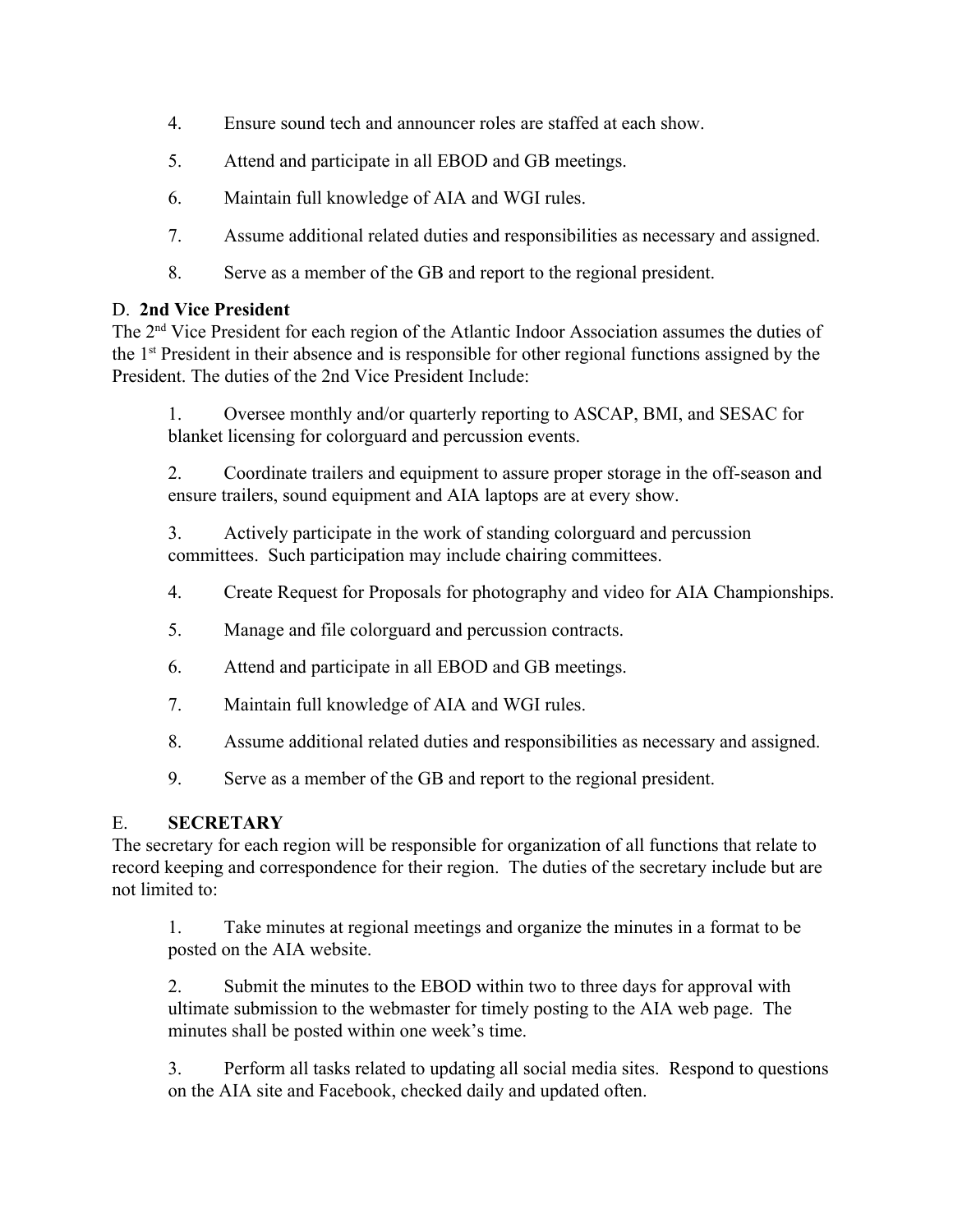- 4. Ensure sound tech and announcer roles are staffed at each show.
- 5. Attend and participate in all EBOD and GB meetings.
- 6. Maintain full knowledge of AIA and WGI rules.
- 7. Assume additional related duties and responsibilities as necessary and assigned.
- 8. Serve as a member of the GB and report to the regional president.

#### D. **2nd Vice President**

The 2<sup>nd</sup> Vice President for each region of the Atlantic Indoor Association assumes the duties of the 1<sup>st</sup> President in their absence and is responsible for other regional functions assigned by the President. The duties of the 2nd Vice President Include:

1. Oversee monthly and/or quarterly reporting to ASCAP, BMI, and SESAC for blanket licensing for colorguard and percussion events.

2. Coordinate trailers and equipment to assure proper storage in the off-season and ensure trailers, sound equipment and AIA laptops are at every show.

3. Actively participate in the work of standing colorguard and percussion committees. Such participation may include chairing committees.

- 4. Create Request for Proposals for photography and video for AIA Championships.
- 5. Manage and file colorguard and percussion contracts.
- 6. Attend and participate in all EBOD and GB meetings.
- 7. Maintain full knowledge of AIA and WGI rules.
- 8. Assume additional related duties and responsibilities as necessary and assigned.
- 9. Serve as a member of the GB and report to the regional president.

#### E. **SECRETARY**

The secretary for each region will be responsible for organization of all functions that relate to record keeping and correspondence for their region. The duties of the secretary include but are not limited to:

1. Take minutes at regional meetings and organize the minutes in a format to be posted on the AIA website.

2. Submit the minutes to the EBOD within two to three days for approval with ultimate submission to the webmaster for timely posting to the AIA web page. The minutes shall be posted within one week's time.

3. Perform all tasks related to updating all social media sites. Respond to questions on the AIA site and Facebook, checked daily and updated often.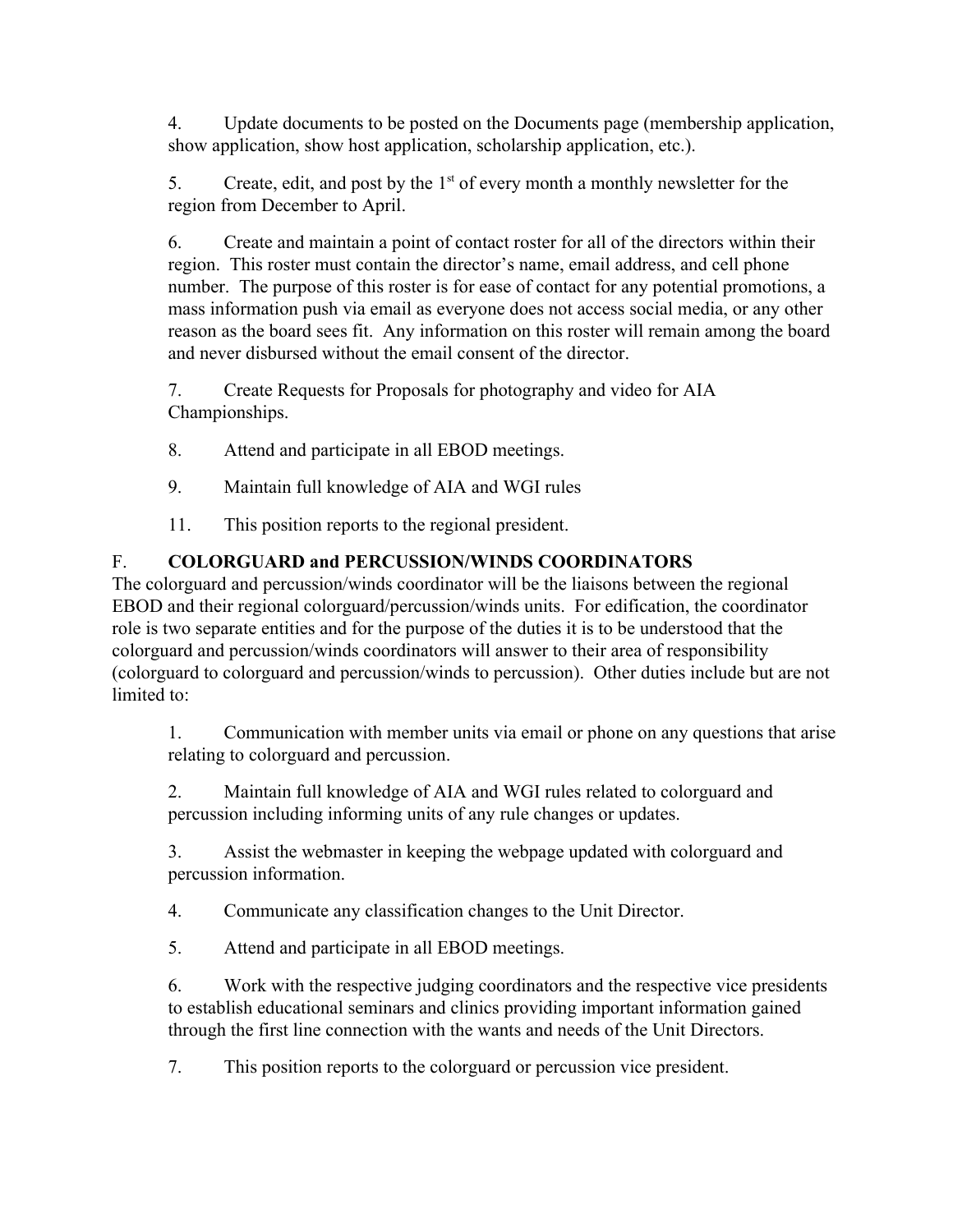4. Update documents to be posted on the Documents page (membership application, show application, show host application, scholarship application, etc.).

5. Create, edit, and post by the  $1<sup>st</sup>$  of every month a monthly newsletter for the region from December to April.

6. Create and maintain a point of contact roster for all of the directors within their region. This roster must contain the director's name, email address, and cell phone number. The purpose of this roster is for ease of contact for any potential promotions, a mass information push via email as everyone does not access social media, or any other reason as the board sees fit. Any information on this roster will remain among the board and never disbursed without the email consent of the director.

7. Create Requests for Proposals for photography and video for AIA Championships.

- 8. Attend and participate in all EBOD meetings.
- 9. Maintain full knowledge of AIA and WGI rules
- 11. This position reports to the regional president.

## F. **COLORGUARD and PERCUSSION/WINDS COORDINATORS**

The colorguard and percussion/winds coordinator will be the liaisons between the regional EBOD and their regional colorguard/percussion/winds units. For edification, the coordinator role is two separate entities and for the purpose of the duties it is to be understood that the colorguard and percussion/winds coordinators will answer to their area of responsibility (colorguard to colorguard and percussion/winds to percussion). Other duties include but are not limited to:

1. Communication with member units via email or phone on any questions that arise relating to colorguard and percussion.

2. Maintain full knowledge of AIA and WGI rules related to colorguard and percussion including informing units of any rule changes or updates.

3. Assist the webmaster in keeping the webpage updated with colorguard and percussion information.

4. Communicate any classification changes to the Unit Director.

5. Attend and participate in all EBOD meetings.

6. Work with the respective judging coordinators and the respective vice presidents to establish educational seminars and clinics providing important information gained through the first line connection with the wants and needs of the Unit Directors.

7. This position reports to the colorguard or percussion vice president.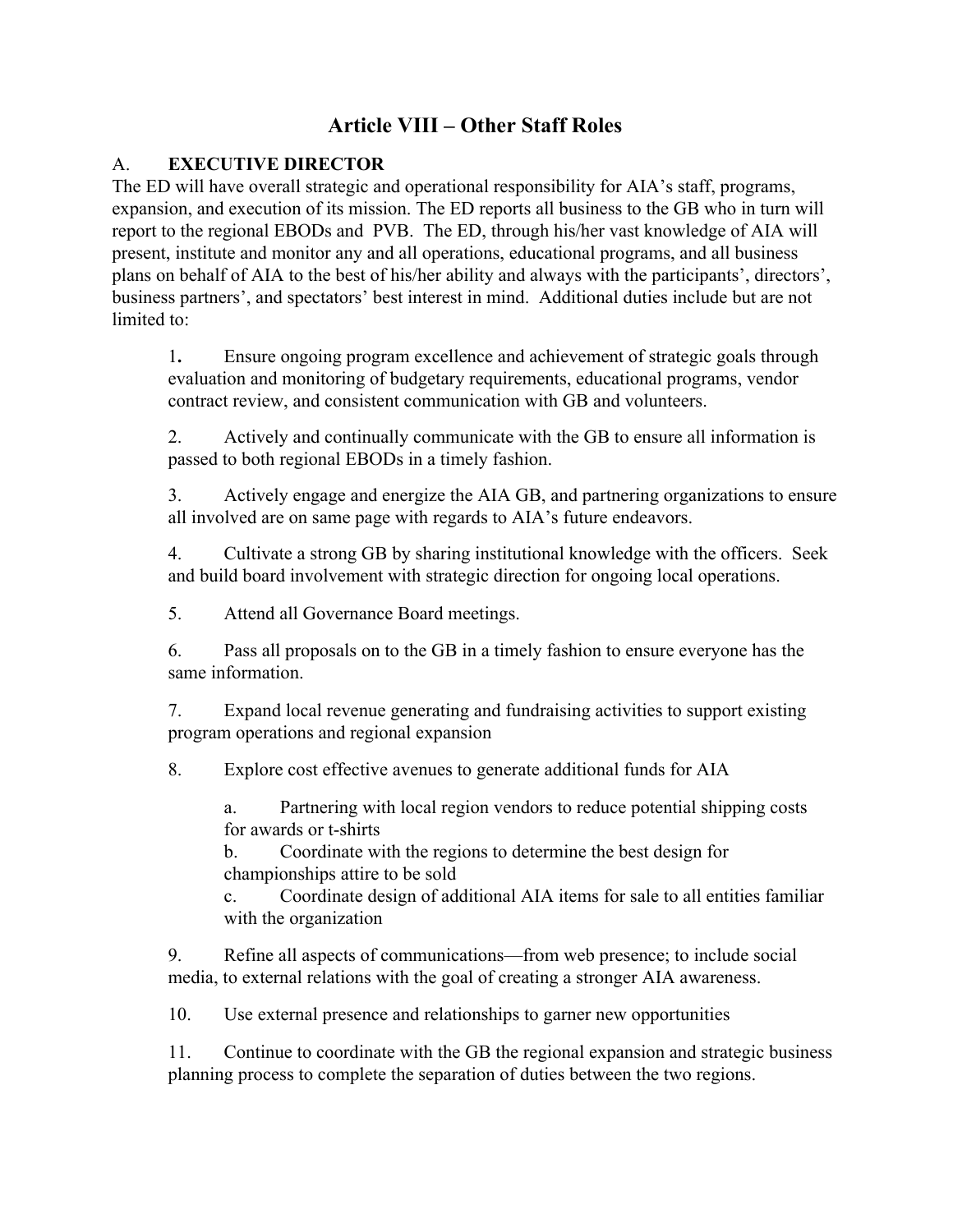## **Article VIII – Other Staff Roles**

### A. **EXECUTIVE DIRECTOR**

The ED will have overall strategic and operational responsibility for AIA's staff, programs, expansion, and execution of its mission. The ED reports all business to the GB who in turn will report to the regional EBODs and PVB. The ED, through his/her vast knowledge of AIA will present, institute and monitor any and all operations, educational programs, and all business plans on behalf of AIA to the best of his/her ability and always with the participants', directors', business partners', and spectators' best interest in mind. Additional duties include but are not limited to:

1**.** Ensure ongoing program excellence and achievement of strategic goals through evaluation and monitoring of budgetary requirements, educational programs, vendor contract review, and consistent communication with GB and volunteers.

2. Actively and continually communicate with the GB to ensure all information is passed to both regional EBODs in a timely fashion.

3. Actively engage and energize the AIA GB, and partnering organizations to ensure all involved are on same page with regards to AIA's future endeavors.

4. Cultivate a strong GB by sharing institutional knowledge with the officers. Seek and build board involvement with strategic direction for ongoing local operations.

5. Attend all Governance Board meetings.

6. Pass all proposals on to the GB in a timely fashion to ensure everyone has the same information.

7. Expand local revenue generating and fundraising activities to support existing program operations and regional expansion

8. Explore cost effective avenues to generate additional funds for AIA

a. Partnering with local region vendors to reduce potential shipping costs for awards or t-shirts

b. Coordinate with the regions to determine the best design for championships attire to be sold

c. Coordinate design of additional AIA items for sale to all entities familiar with the organization

9. Refine all aspects of communications—from web presence; to include social media, to external relations with the goal of creating a stronger AIA awareness.

10. Use external presence and relationships to garner new opportunities

11. Continue to coordinate with the GB the regional expansion and strategic business planning process to complete the separation of duties between the two regions.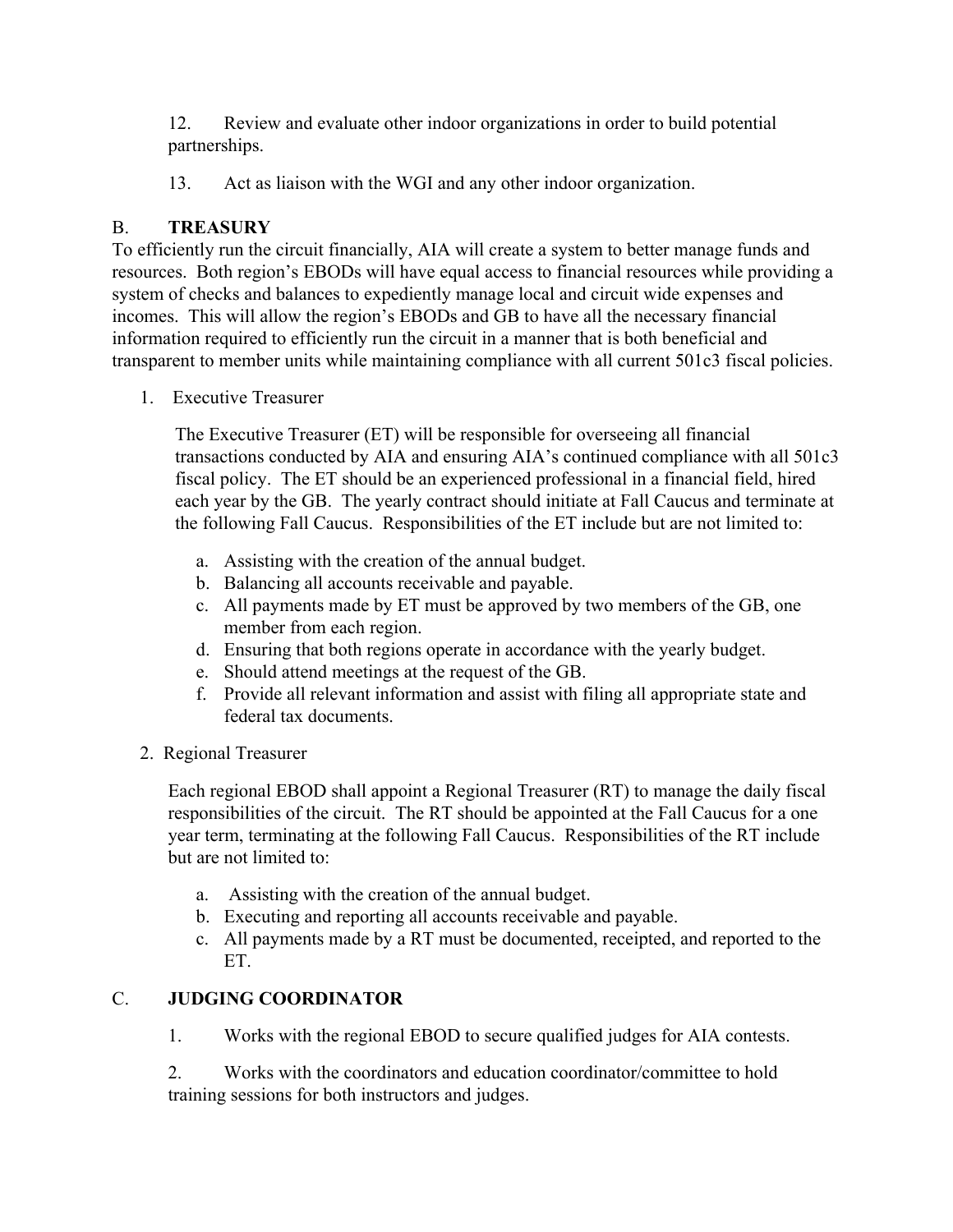12. Review and evaluate other indoor organizations in order to build potential partnerships.

13. Act as liaison with the WGI and any other indoor organization.

### B. **TREASURY**

To efficiently run the circuit financially, AIA will create a system to better manage funds and resources. Both region's EBODs will have equal access to financial resources while providing a system of checks and balances to expediently manage local and circuit wide expenses and incomes. This will allow the region's EBODs and GB to have all the necessary financial information required to efficiently run the circuit in a manner that is both beneficial and transparent to member units while maintaining compliance with all current 501c3 fiscal policies.

1. Executive Treasurer

The Executive Treasurer (ET) will be responsible for overseeing all financial transactions conducted by AIA and ensuring AIA's continued compliance with all 501c3 fiscal policy. The ET should be an experienced professional in a financial field, hired each year by the GB. The yearly contract should initiate at Fall Caucus and terminate at the following Fall Caucus. Responsibilities of the ET include but are not limited to:

- a. Assisting with the creation of the annual budget.
- b. Balancing all accounts receivable and payable.
- c. All payments made by ET must be approved by two members of the GB, one member from each region.
- d. Ensuring that both regions operate in accordance with the yearly budget.
- e. Should attend meetings at the request of the GB.
- f. Provide all relevant information and assist with filing all appropriate state and federal tax documents.
- 2. Regional Treasurer

Each regional EBOD shall appoint a Regional Treasurer (RT) to manage the daily fiscal responsibilities of the circuit. The RT should be appointed at the Fall Caucus for a one year term, terminating at the following Fall Caucus. Responsibilities of the RT include but are not limited to:

- a. Assisting with the creation of the annual budget.
- b. Executing and reporting all accounts receivable and payable.
- c. All payments made by a RT must be documented, receipted, and reported to the ET.

## C. **JUDGING COORDINATOR**

1. Works with the regional EBOD to secure qualified judges for AIA contests.

2. Works with the coordinators and education coordinator/committee to hold training sessions for both instructors and judges.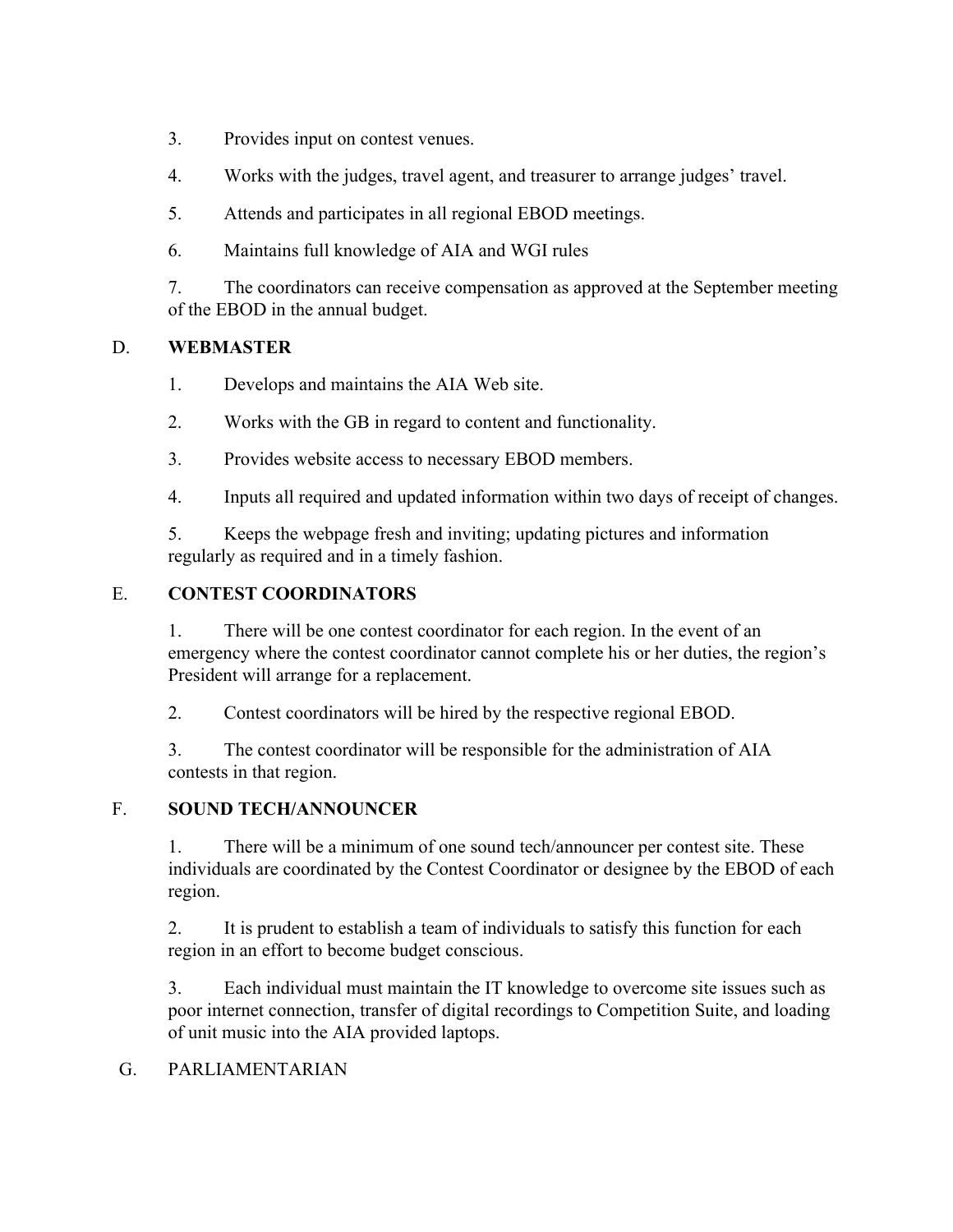- 3. Provides input on contest venues.
- 4. Works with the judges, travel agent, and treasurer to arrange judges' travel.
- 5. Attends and participates in all regional EBOD meetings.
- 6. Maintains full knowledge of AIA and WGI rules

7. The coordinators can receive compensation as approved at the September meeting of the EBOD in the annual budget.

### D. **WEBMASTER**

- 1. Develops and maintains the AIA Web site.
- 2. Works with the GB in regard to content and functionality.
- 3. Provides website access to necessary EBOD members.
- 4. Inputs all required and updated information within two days of receipt of changes.

5. Keeps the webpage fresh and inviting; updating pictures and information regularly as required and in a timely fashion.

### E. **CONTEST COORDINATORS**

1. There will be one contest coordinator for each region. In the event of an emergency where the contest coordinator cannot complete his or her duties, the region's President will arrange for a replacement.

2. Contest coordinators will be hired by the respective regional EBOD.

3. The contest coordinator will be responsible for the administration of AIA contests in that region.

### F. **SOUND TECH/ANNOUNCER**

1. There will be a minimum of one sound tech/announcer per contest site. These individuals are coordinated by the Contest Coordinator or designee by the EBOD of each region.

2. It is prudent to establish a team of individuals to satisfy this function for each region in an effort to become budget conscious.

3. Each individual must maintain the IT knowledge to overcome site issues such as poor internet connection, transfer of digital recordings to Competition Suite, and loading of unit music into the AIA provided laptops.

### G. PARLIAMENTARIAN